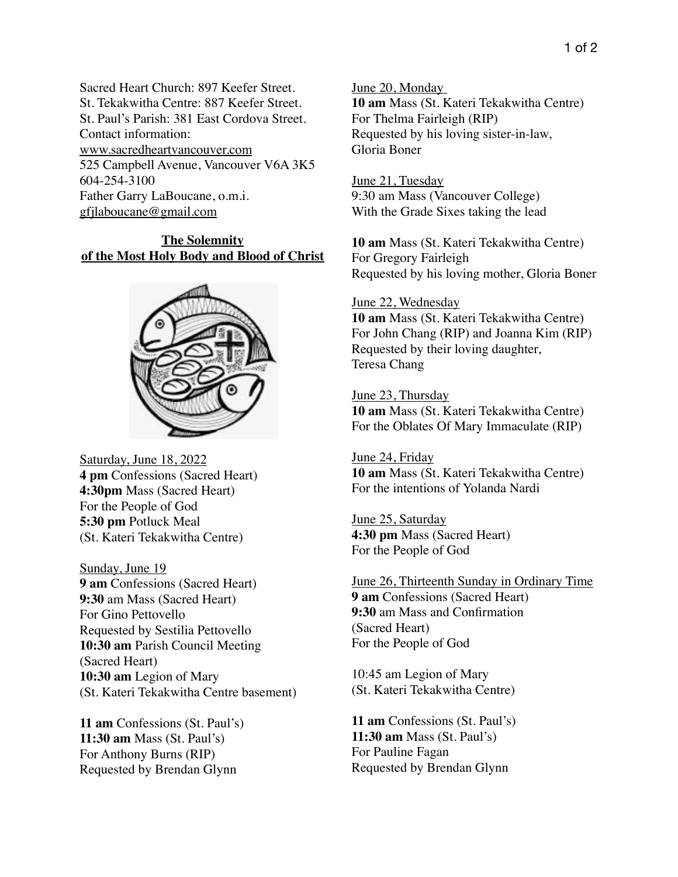Sacred Heart Church: 897 Keefer Street. St. Tekakwitha Centre: 887 Keefer Street. St. Paul's Parish: 381 East Cordova Street. Contact information: www.sacredheartvancouver.com 525 Campbell Avenue, Vancouver V6A 3K5 604-254-3100 Father Garry LaBoucane, o.m.i. [gfjlaboucane@gmail.com](mailto:gfjlaboucane@gmail.com)

## **The Solemnity of the Most Holy Body and Blood of Christ**



Saturday, June 18, 2022 **4 pm** Confessions (Sacred Heart) **4:30pm** Mass (Sacred Heart) For the People of God **5:30 pm** Potluck Meal (St. Kateri Tekakwitha Centre)

Sunday, June 19 **9 am** Confessions (Sacred Heart) **9:30** am Mass (Sacred Heart) For Gino Pettovello Requested by Sestilia Pettovello **10:30 am** Parish Council Meeting (Sacred Heart) **10:30 am** Legion of Mary (St. Kateri Tekakwitha Centre basement)

**11 am** Confessions (St. Paul's) **11:30 am** Mass (St. Paul's) For Anthony Burns (RIP) Requested by Brendan Glynn

June 20, Monday **10 am** Mass (St. Kateri Tekakwitha Centre) For Thelma Fairleigh (RIP) Requested by his loving sister-in-law, Gloria Boner

June 21, Tuesday 9:30 am Mass (Vancouver College) With the Grade Sixes taking the lead

**10 am** Mass (St. Kateri Tekakwitha Centre) For Gregory Fairleigh Requested by his loving mother, Gloria Boner

## June 22, Wednesday

**10 am** Mass (St. Kateri Tekakwitha Centre) For John Chang (RIP) and Joanna Kim (RIP) Requested by their loving daughter, Teresa Chang

June 23, Thursday **10 am** Mass (St. Kateri Tekakwitha Centre) For the Oblates Of Mary Immaculate (RIP)

June 24, Friday **10 am** Mass (St. Kateri Tekakwitha Centre) For the intentions of Yolanda Nardi

June 25, Saturday **4:30 pm** Mass (Sacred Heart) For the People of God

June 26, Thirteenth Sunday in Ordinary Time **9 am** Confessions (Sacred Heart) **9:30** am Mass and Confirmation (Sacred Heart) For the People of God

10:45 am Legion of Mary (St. Kateri Tekakwitha Centre)

**11 am** Confessions (St. Paul's) **11:30 am** Mass (St. Paul's) For Pauline Fagan Requested by Brendan Glynn